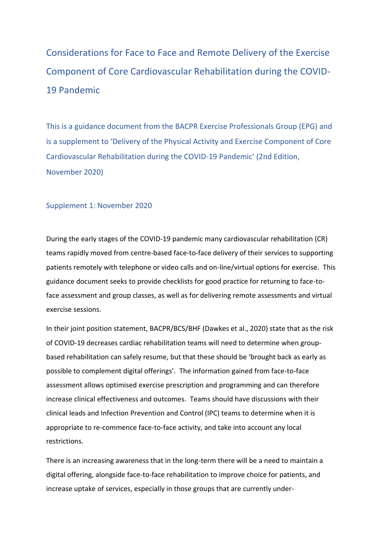# Considerations for Face to Face and Remote Delivery of the Exercise Component of Core Cardiovascular Rehabilitation during the COVID-19 Pandemic

This is a guidance document from the BACPR Exercise Professionals Group (EPG) and is a supplement to 'Delivery of the Physical Activity and Exercise Component of Core Cardiovascular Rehabilitation during the COVID-19 Pandemic' (2nd Edition, November 2020)

#### Supplement 1: November 2020

During the early stages of the COVID-19 pandemic many cardiovascular rehabilitation (CR) teams rapidly moved from centre-based face-to-face delivery of their services to supporting patients remotely with telephone or video calls and on-line/virtual options for exercise. This guidance document seeks to provide checklists for good practice for returning to face-toface assessment and group classes, as well as for delivering remote assessments and virtual exercise sessions.

In their joint position statement, BACPR/BCS/BHF (Dawkes et al., 2020) state that as the risk of COVID-19 decreases cardiac rehabilitation teams will need to determine when groupbased rehabilitation can safely resume, but that these should be 'brought back as early as possible to complement digital offerings'. The information gained from face-to-face assessment allows optimised exercise prescription and programming and can therefore increase clinical effectiveness and outcomes. Teams should have discussions with their clinical leads and Infection Prevention and Control (IPC) teams to determine when it is appropriate to re-commence face-to-face activity, and take into account any local restrictions.

There is an increasing awareness that in the long-term there will be a need to maintain a digital offering, alongside face-to-face rehabilitation to improve choice for patients, and increase uptake of services, especially in those groups that are currently under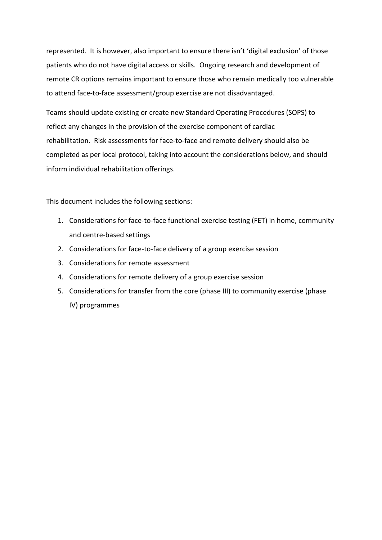represented. It is however, also important to ensure there isn't 'digital exclusion' of those patients who do not have digital access or skills. Ongoing research and development of remote CR options remains important to ensure those who remain medically too vulnerable to attend face-to-face assessment/group exercise are not disadvantaged.

Teams should update existing or create new Standard Operating Procedures (SOPS) to reflect any changes in the provision of the exercise component of cardiac rehabilitation. Risk assessments for face-to-face and remote delivery should also be completed as per local protocol, taking into account the considerations below, and should inform individual rehabilitation offerings.

This document includes the following sections:

- 1. Considerations for face-to-face functional exercise testing (FET) in home, community and centre-based settings
- 2. Considerations for face-to-face delivery of a group exercise session
- 3. Considerations for remote assessment
- 4. Considerations for remote delivery of a group exercise session
- 5. Considerations for transfer from the core (phase III) to community exercise (phase IV) programmes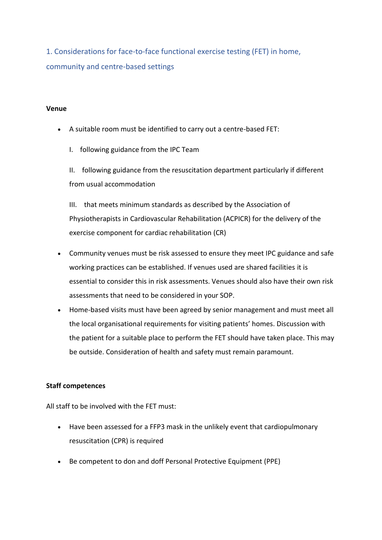1. Considerations for face-to-face functional exercise testing (FET) in home, community and centre-based settings

#### **Venue**

- A suitable room must be identified to carry out a centre-based FET:
	- I. following guidance from the IPC Team

II. following guidance from the resuscitation department particularly if different from usual accommodation

III. that meets minimum standards as described by the Association of Physiotherapists in Cardiovascular Rehabilitation (ACPICR) for the delivery of the exercise component for cardiac rehabilitation (CR)

- Community venues must be risk assessed to ensure they meet IPC guidance and safe working practices can be established. If venues used are shared facilities it is essential to consider this in risk assessments. Venues should also have their own risk assessments that need to be considered in your SOP.
- Home-based visits must have been agreed by senior management and must meet all the local organisational requirements for visiting patients' homes. Discussion with the patient for a suitable place to perform the FET should have taken place. This may be outside. Consideration of health and safety must remain paramount.

#### **Staff competences**

All staff to be involved with the FET must:

- Have been assessed for a FFP3 mask in the unlikely event that cardiopulmonary resuscitation (CPR) is required
- Be competent to don and doff Personal Protective Equipment (PPE)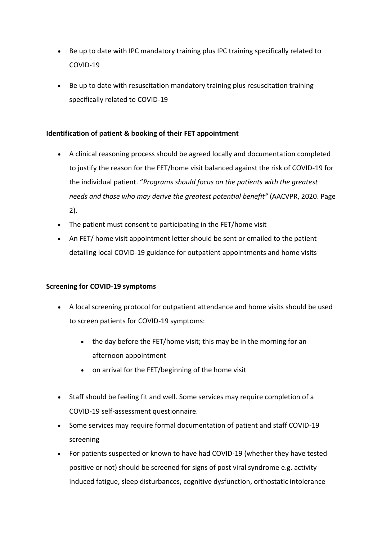- Be up to date with IPC mandatory training plus IPC training specifically related to COVID-19
- Be up to date with resuscitation mandatory training plus resuscitation training specifically related to COVID-19

# **Identification of patient & booking of their FET appointment**

- A clinical reasoning process should be agreed locally and documentation completed to justify the reason for the FET/home visit balanced against the risk of COVID-19 for the individual patient. "*Programs should focus on the patients with the greatest needs and those who may derive the greatest potential benefit"* (AACVPR, 2020. Page 2).
- The patient must consent to participating in the FET/home visit
- An FET/ home visit appointment letter should be sent or emailed to the patient detailing local COVID-19 guidance for outpatient appointments and home visits

# **Screening for COVID-19 symptoms**

- A local screening protocol for outpatient attendance and home visits should be used to screen patients for COVID-19 symptoms:
	- the day before the FET/home visit; this may be in the morning for an afternoon appointment
	- on arrival for the FET/beginning of the home visit
- Staff should be feeling fit and well. Some services may require completion of a COVID-19 self-assessment questionnaire.
- Some services may require formal documentation of patient and staff COVID-19 screening
- For patients suspected or known to have had COVID-19 (whether they have tested positive or not) should be screened for signs of post viral syndrome e.g. activity induced fatigue, sleep disturbances, cognitive dysfunction, orthostatic intolerance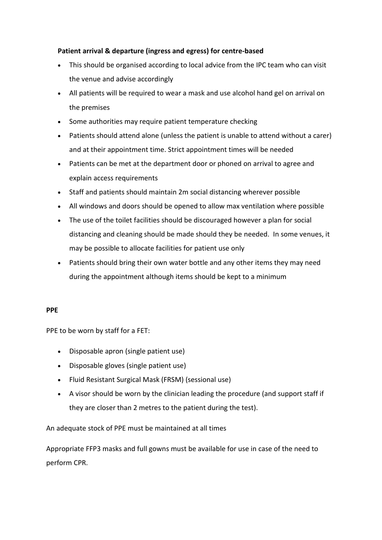# **Patient arrival & departure (ingress and egress) for centre-based**

- This should be organised according to local advice from the IPC team who can visit the venue and advise accordingly
- All patients will be required to wear a mask and use alcohol hand gel on arrival on the premises
- Some authorities may require patient temperature checking
- Patients should attend alone (unless the patient is unable to attend without a carer) and at their appointment time. Strict appointment times will be needed
- Patients can be met at the department door or phoned on arrival to agree and explain access requirements
- Staff and patients should maintain 2m social distancing wherever possible
- All windows and doors should be opened to allow max ventilation where possible
- The use of the toilet facilities should be discouraged however a plan for social distancing and cleaning should be made should they be needed. In some venues, it may be possible to allocate facilities for patient use only
- Patients should bring their own water bottle and any other items they may need during the appointment although items should be kept to a minimum

#### **PPE**

PPE to be worn by staff for a FET:

- Disposable apron (single patient use)
- Disposable gloves (single patient use)
- Fluid Resistant Surgical Mask (FRSM) (sessional use)
- A visor should be worn by the clinician leading the procedure (and support staff if they are closer than 2 metres to the patient during the test).

# An adequate stock of PPE must be maintained at all times

Appropriate FFP3 masks and full gowns must be available for use in case of the need to perform CPR.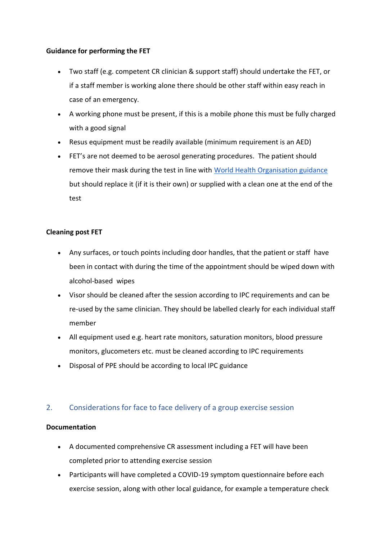#### **Guidance for performing the FET**

- Two staff (e.g. competent CR clinician & support staff) should undertake the FET, or if a staff member is working alone there should be other staff within easy reach in case of an emergency.
- A working phone must be present, if this is a mobile phone this must be fully charged with a good signal
- Resus equipment must be readily available (minimum requirement is an AED)
- FET's are not deemed to be aerosol generating procedures. The patient should remove their mask during the test in line with [World Health Organisation guidance](https://www.who.int/images/default-source/health-topics/coronavirus/myth-busters/mythbuster---masks-and-exercise.png) but should replace it (if it is their own) or supplied with a clean one at the end of the test

# **Cleaning post FET**

- Any surfaces, or touch points including door handles, that the patient or staff have been in contact with during the time of the appointment should be wiped down with alcohol-based wipes
- Visor should be cleaned after the session according to IPC requirements and can be re-used by the same clinician. They should be labelled clearly for each individual staff member
- All equipment used e.g. heart rate monitors, saturation monitors, blood pressure monitors, glucometers etc. must be cleaned according to IPC requirements
- Disposal of PPE should be according to local IPC guidance

# 2. Considerations for face to face delivery of a group exercise session

#### **Documentation**

- A documented comprehensive CR assessment including a FET will have been completed prior to attending exercise session
- Participants will have completed a COVID-19 symptom questionnaire before each exercise session, along with other local guidance, for example a temperature check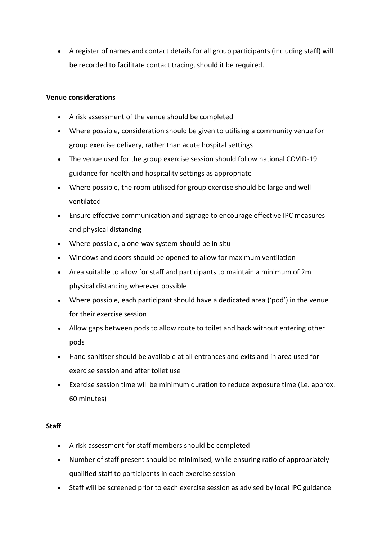A register of names and contact details for all group participants (including staff) will be recorded to facilitate contact tracing, should it be required.

#### **Venue considerations**

- A risk assessment of the venue should be completed
- Where possible, consideration should be given to utilising a community venue for group exercise delivery, rather than acute hospital settings
- The venue used for the group exercise session should follow national COVID-19 guidance for health and hospitality settings as appropriate
- Where possible, the room utilised for group exercise should be large and wellventilated
- Ensure effective communication and signage to encourage effective IPC measures and physical distancing
- Where possible, a one-way system should be in situ
- Windows and doors should be opened to allow for maximum ventilation
- Area suitable to allow for staff and participants to maintain a minimum of 2m physical distancing wherever possible
- Where possible, each participant should have a dedicated area ('pod') in the venue for their exercise session
- Allow gaps between pods to allow route to toilet and back without entering other pods
- Hand sanitiser should be available at all entrances and exits and in area used for exercise session and after toilet use
- Exercise session time will be minimum duration to reduce exposure time (i.e. approx. 60 minutes)

# **Staff**

- A risk assessment for staff members should be completed
- Number of staff present should be minimised, while ensuring ratio of appropriately qualified staff to participants in each exercise session
- Staff will be screened prior to each exercise session as advised by local IPC guidance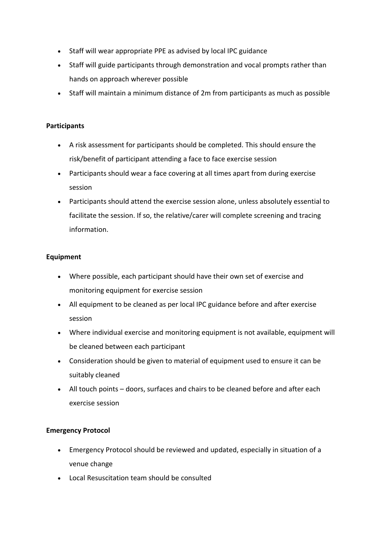- Staff will wear appropriate PPE as advised by local IPC guidance
- Staff will guide participants through demonstration and vocal prompts rather than hands on approach wherever possible
- Staff will maintain a minimum distance of 2m from participants as much as possible

#### **Participants**

- A risk assessment for participants should be completed. This should ensure the risk/benefit of participant attending a face to face exercise session
- Participants should wear a face covering at all times apart from during exercise session
- Participants should attend the exercise session alone, unless absolutely essential to facilitate the session. If so, the relative/carer will complete screening and tracing information.

#### **Equipment**

- Where possible, each participant should have their own set of exercise and monitoring equipment for exercise session
- All equipment to be cleaned as per local IPC guidance before and after exercise session
- Where individual exercise and monitoring equipment is not available, equipment will be cleaned between each participant
- Consideration should be given to material of equipment used to ensure it can be suitably cleaned
- All touch points doors, surfaces and chairs to be cleaned before and after each exercise session

# **Emergency Protocol**

- Emergency Protocol should be reviewed and updated, especially in situation of a venue change
- Local Resuscitation team should be consulted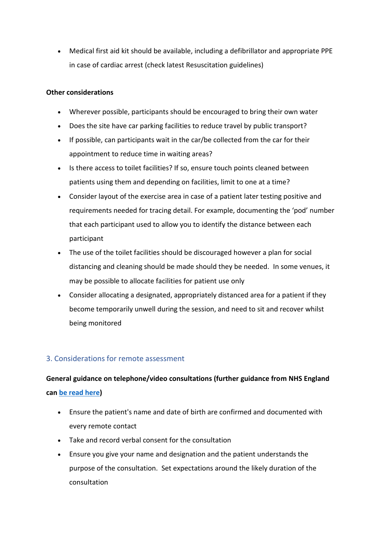Medical first aid kit should be available, including a defibrillator and appropriate PPE in case of cardiac arrest (check latest Resuscitation guidelines)

#### **Other considerations**

- Wherever possible, participants should be encouraged to bring their own water
- Does the site have car parking facilities to reduce travel by public transport?
- If possible, can participants wait in the car/be collected from the car for their appointment to reduce time in waiting areas?
- Is there access to toilet facilities? If so, ensure touch points cleaned between patients using them and depending on facilities, limit to one at a time?
- Consider layout of the exercise area in case of a patient later testing positive and requirements needed for tracing detail. For example, documenting the 'pod' number that each participant used to allow you to identify the distance between each participant
- The use of the toilet facilities should be discouraged however a plan for social distancing and cleaning should be made should they be needed. In some venues, it may be possible to allocate facilities for patient use only
- Consider allocating a designated, appropriately distanced area for a patient if they become temporarily unwell during the session, and need to sit and recover whilst being monitored

# 3. Considerations for remote assessment

# **General guidance on telephone/video consultations (further guidance from NHS England can [be read here\)](https://www.england.nhs.uk/coronavirus/wp-content/uploads/sites/52/2020/03/C0044-Specialty-Guide-Virtual-Working-and-Coronavirus-27-March-20.pdf)**

- Ensure the patient's name and date of birth are confirmed and documented with every remote contact
- Take and record verbal consent for the consultation
- Ensure you give your name and designation and the patient understands the purpose of the consultation. Set expectations around the likely duration of the consultation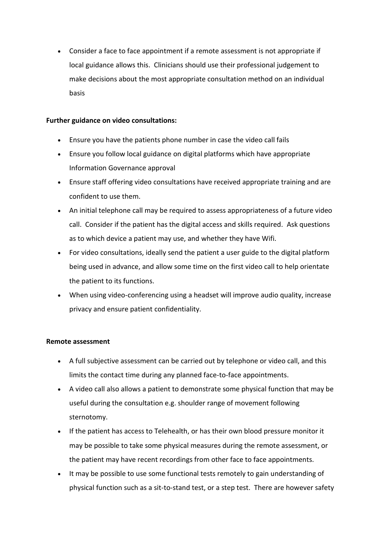Consider a face to face appointment if a remote assessment is not appropriate if local guidance allows this. Clinicians should use their professional judgement to make decisions about the most appropriate consultation method on an individual basis

#### **Further guidance on video consultations:**

- Ensure you have the patients phone number in case the video call fails
- Ensure you follow local guidance on digital platforms which have appropriate Information Governance approval
- Ensure staff offering video consultations have received appropriate training and are confident to use them.
- An initial telephone call may be required to assess appropriateness of a future video call. Consider if the patient has the digital access and skills required. Ask questions as to which device a patient may use, and whether they have Wifi.
- For video consultations, ideally send the patient a user guide to the digital platform being used in advance, and allow some time on the first video call to help orientate the patient to its functions.
- When using video-conferencing using a headset will improve audio quality, increase privacy and ensure patient confidentiality.

#### **Remote assessment**

- A full subjective assessment can be carried out by telephone or video call, and this limits the contact time during any planned face-to-face appointments.
- A video call also allows a patient to demonstrate some physical function that may be useful during the consultation e.g. shoulder range of movement following sternotomy.
- If the patient has access to Telehealth, or has their own blood pressure monitor it may be possible to take some physical measures during the remote assessment, or the patient may have recent recordings from other face to face appointments.
- It may be possible to use some functional tests remotely to gain understanding of physical function such as a sit-to-stand test, or a step test. There are however safety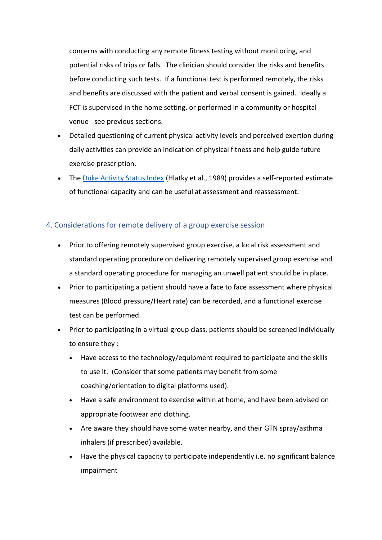concerns with conducting any remote fitness testing without monitoring, and potential risks of trips or falls. The clinician should consider the risks and benefits before conducting such tests. If a functional test is performed remotely, the risks and benefits are discussed with the patient and verbal consent is gained. Ideally a FCT is supervised in the home setting, or performed in a community or hospital venue - see previous sections.

- Detailed questioning of current physical activity levels and perceived exertion during daily activities can provide an indication of physical fitness and help guide future exercise prescription.
- The [Duke Activity Status Index](https://www.mdcalc.com/duke-activity-status-index-dasi) (Hlatky et al., 1989) provides a self-reported estimate of functional capacity and can be useful at assessment and reassessment.

# 4. Considerations for remote delivery of a group exercise session

- Prior to offering remotely supervised group exercise, a local risk assessment and standard operating procedure on delivering remotely supervised group exercise and a standard operating procedure for managing an unwell patient should be in place.
- Prior to participating a patient should have a face to face assessment where physical measures (Blood pressure/Heart rate) can be recorded, and a functional exercise test can be performed.
- Prior to participating in a virtual group class, patients should be screened individually to ensure they :
	- Have access to the technology/equipment required to participate and the skills to use it. (Consider that some patients may benefit from some coaching/orientation to digital platforms used).
	- Have a safe environment to exercise within at home, and have been advised on appropriate footwear and clothing.
	- Are aware they should have some water nearby, and their GTN spray/asthma inhalers (if prescribed) available.
	- Have the physical capacity to participate independently i.e. no significant balance impairment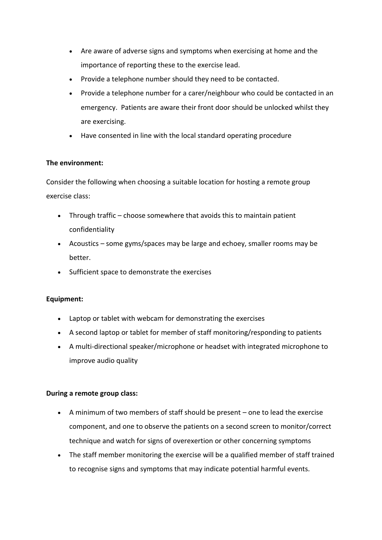- Are aware of adverse signs and symptoms when exercising at home and the importance of reporting these to the exercise lead.
- Provide a telephone number should they need to be contacted.
- Provide a telephone number for a carer/neighbour who could be contacted in an emergency. Patients are aware their front door should be unlocked whilst they are exercising.
- Have consented in line with the local standard operating procedure

# **The environment:**

Consider the following when choosing a suitable location for hosting a remote group exercise class:

- Through traffic choose somewhere that avoids this to maintain patient confidentiality
- Acoustics some gyms/spaces may be large and echoey, smaller rooms may be better.
- Sufficient space to demonstrate the exercises

# **Equipment:**

- Laptop or tablet with webcam for demonstrating the exercises
- A second laptop or tablet for member of staff monitoring/responding to patients
- A multi-directional speaker/microphone or headset with integrated microphone to improve audio quality

# **During a remote group class:**

- A minimum of two members of staff should be present one to lead the exercise component, and one to observe the patients on a second screen to monitor/correct technique and watch for signs of overexertion or other concerning symptoms
- The staff member monitoring the exercise will be a qualified member of staff trained to recognise signs and symptoms that may indicate potential harmful events.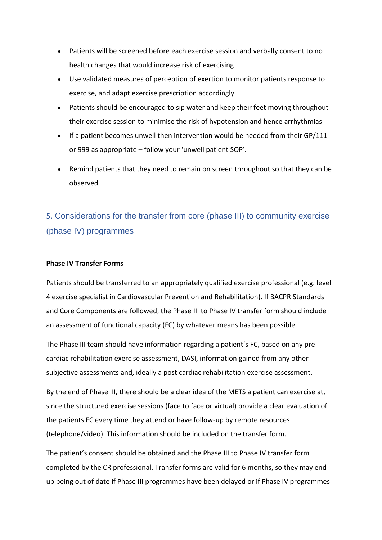- Patients will be screened before each exercise session and verbally consent to no health changes that would increase risk of exercising
- Use validated measures of perception of exertion to monitor patients response to exercise, and adapt exercise prescription accordingly
- Patients should be encouraged to sip water and keep their feet moving throughout their exercise session to minimise the risk of hypotension and hence arrhythmias
- If a patient becomes unwell then intervention would be needed from their GP/111 or 999 as appropriate – follow your 'unwell patient SOP'.
- Remind patients that they need to remain on screen throughout so that they can be observed

# 5. Considerations for the transfer from core (phase III) to community exercise (phase IV) programmes

#### **Phase IV Transfer Forms**

Patients should be transferred to an appropriately qualified exercise professional (e.g. level 4 exercise specialist in Cardiovascular Prevention and Rehabilitation). If BACPR Standards and Core Components are followed, the Phase III to Phase IV transfer form should include an assessment of functional capacity (FC) by whatever means has been possible.

The Phase III team should have information regarding a patient's FC, based on any pre cardiac rehabilitation exercise assessment, DASI, information gained from any other subjective assessments and, ideally a post cardiac rehabilitation exercise assessment.

By the end of Phase III, there should be a clear idea of the METS a patient can exercise at, since the structured exercise sessions (face to face or virtual) provide a clear evaluation of the patients FC every time they attend or have follow-up by remote resources (telephone/video). This information should be included on the transfer form.

The patient's consent should be obtained and the Phase III to Phase IV transfer form completed by the CR professional. Transfer forms are valid for 6 months, so they may end up being out of date if Phase III programmes have been delayed or if Phase IV programmes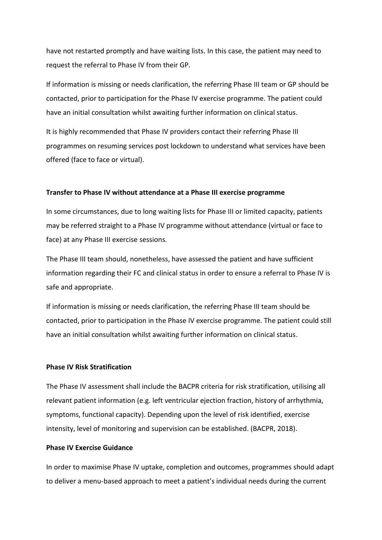have not restarted promptly and have waiting lists. In this case, the patient may need to request the referral to Phase IV from their GP.

If information is missing or needs clarification, the referring Phase III team or GP should be contacted, prior to participation for the Phase IV exercise programme. The patient could have an initial consultation whilst awaiting further information on clinical status.

It is highly recommended that Phase IV providers contact their referring Phase III programmes on resuming services post lockdown to understand what services have been offered (face to face or virtual).

#### **Transfer to Phase IV without attendance at a Phase III exercise programme**

In some circumstances, due to long waiting lists for Phase III or limited capacity, patients may be referred straight to a Phase IV programme without attendance (virtual or face to face) at any Phase III exercise sessions.

The Phase III team should, nonetheless, have assessed the patient and have sufficient information regarding their FC and clinical status in order to ensure a referral to Phase IV is safe and appropriate.

If information is missing or needs clarification, the referring Phase III team should be contacted, prior to participation in the Phase IV exercise programme. The patient could still have an initial consultation whilst awaiting further information on clinical status.

#### **Phase IV Risk Stratification**

The Phase IV assessment shall include the BACPR criteria for risk stratification, utilising all relevant patient information (e.g. left ventricular ejection fraction, history of arrhythmia, symptoms, functional capacity). Depending upon the level of risk identified, exercise intensity, level of monitoring and supervision can be established. (BACPR, 2018).

#### **Phase IV Exercise Guidance**

In order to maximise Phase IV uptake, completion and outcomes, programmes should adapt to deliver a menu-based approach to meet a patient's individual needs during the current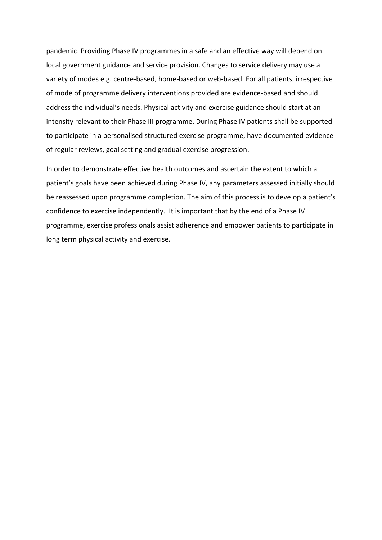pandemic. Providing Phase IV programmes in a safe and an effective way will depend on local government guidance and service provision. Changes to service delivery may use a variety of modes e.g. centre-based, home-based or web-based. For all patients, irrespective of mode of programme delivery interventions provided are evidence-based and should address the individual's needs. Physical activity and exercise guidance should start at an intensity relevant to their Phase III programme. During Phase IV patients shall be supported to participate in a personalised structured exercise programme, have documented evidence of regular reviews, goal setting and gradual exercise progression.

In order to demonstrate effective health outcomes and ascertain the extent to which a patient's goals have been achieved during Phase IV, any parameters assessed initially should be reassessed upon programme completion. The aim of this process is to develop a patient's confidence to exercise independently. It is important that by the end of a Phase IV programme, exercise professionals assist adherence and empower patients to participate in long term physical activity and exercise.